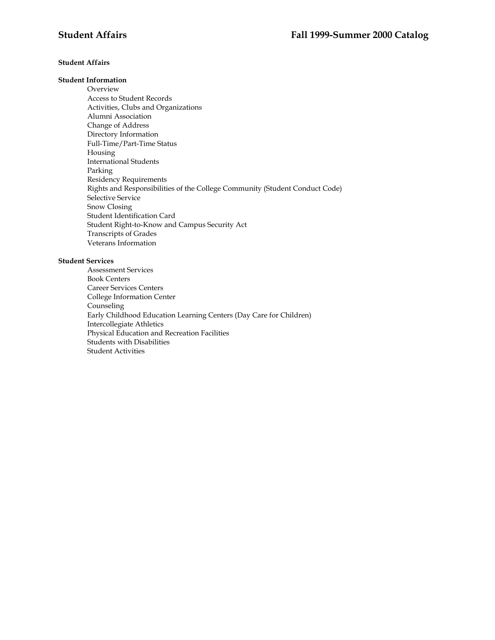# **Student Affairs**

# **Student Information**

Overview Access to Student Records Activities, Clubs and Organizations Alumni Association Change of Address Directory Information Full-Time/Part-Time Status Housing International Students Parking Residency Requirements Rights and Responsibilities of the College Community (Student Conduct Code) Selective Service Snow Closing Student Identification Card Student Right-to-Know and Campus Security Act Transcripts of Grades Veterans Information

# **Student Services**

Assessment Services Book Centers Career Services Centers College Information Center Counseling Early Childhood Education Learning Centers (Day Care for Children) Intercollegiate Athletics Physical Education and Recreation Facilities Students with Disabilities Student Activities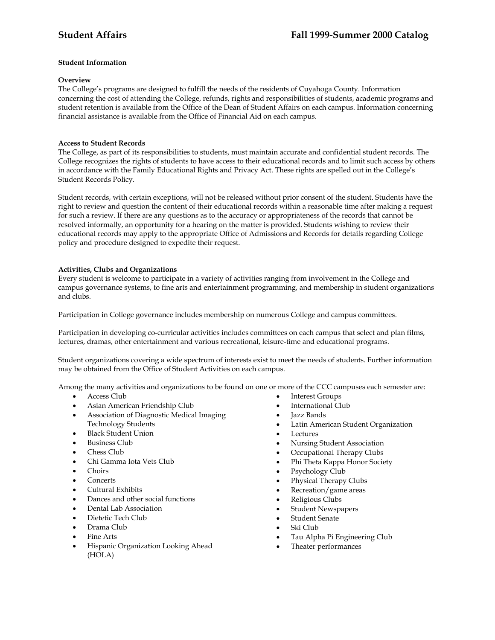# **Student Information**

## **Overview**

The College's programs are designed to fulfill the needs of the residents of Cuyahoga County. Information concerning the cost of attending the College, refunds, rights and responsibilities of students, academic programs and student retention is available from the Office of the Dean of Student Affairs on each campus. Information concerning financial assistance is available from the Office of Financial Aid on each campus.

## **Access to Student Records**

The College, as part of its responsibilities to students, must maintain accurate and confidential student records. The College recognizes the rights of students to have access to their educational records and to limit such access by others in accordance with the Family Educational Rights and Privacy Act. These rights are spelled out in the College's Student Records Policy.

Student records, with certain exceptions, will not be released without prior consent of the student. Students have the right to review and question the content of their educational records within a reasonable time after making a request for such a review. If there are any questions as to the accuracy or appropriateness of the records that cannot be resolved informally, an opportunity for a hearing on the matter is provided. Students wishing to review their educational records may apply to the appropriate Office of Admissions and Records for details regarding College policy and procedure designed to expedite their request.

## **Activities, Clubs and Organizations**

Every student is welcome to participate in a variety of activities ranging from involvement in the College and campus governance systems, to fine arts and entertainment programming, and membership in student organizations and clubs.

Participation in College governance includes membership on numerous College and campus committees.

Participation in developing co-curricular activities includes committees on each campus that select and plan films, lectures, dramas, other entertainment and various recreational, leisure-time and educational programs.

Student organizations covering a wide spectrum of interests exist to meet the needs of students. Further information may be obtained from the Office of Student Activities on each campus.

Among the many activities and organizations to be found on one or more of the CCC campuses each semester are:

- Access Club
- Asian American Friendship Club
- Association of Diagnostic Medical Imaging Technology Students
- Black Student Union
- Business Club
- Chess Club
- Chi Gamma Iota Vets Club
- Choirs
- Concerts
- Cultural Exhibits
- Dances and other social functions
- Dental Lab Association
- Dietetic Tech Club
- Drama Club
- Fine Arts
- Hispanic Organization Looking Ahead (HOLA)
- **Interest Groups**
- International Club
- Jazz Bands
- Latin American Student Organization
- **Lectures**
- Nursing Student Association
- Occupational Therapy Clubs
- Phi Theta Kappa Honor Society
- Psychology Club
- Physical Therapy Clubs
- Recreation/game areas
- Religious Clubs
- Student Newspapers
- Student Senate
- Ski Club
- Tau Alpha Pi Engineering Club
- Theater performances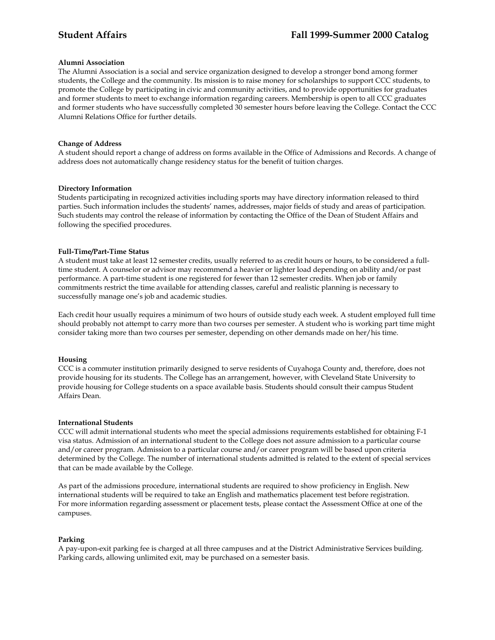### **Alumni Association**

The Alumni Association is a social and service organization designed to develop a stronger bond among former students, the College and the community. Its mission is to raise money for scholarships to support CCC students, to promote the College by participating in civic and community activities, and to provide opportunities for graduates and former students to meet to exchange information regarding careers. Membership is open to all CCC graduates and former students who have successfully completed 30 semester hours before leaving the College. Contact the CCC Alumni Relations Office for further details.

## **Change of Address**

A student should report a change of address on forms available in the Office of Admissions and Records. A change of address does not automatically change residency status for the benefit of tuition charges.

## **Directory Information**

Students participating in recognized activities including sports may have directory information released to third parties. Such information includes the students' names, addresses, major fields of study and areas of participation. Such students may control the release of information by contacting the Office of the Dean of Student Affairs and following the specified procedures.

## **Full-Time/Part-Time Status**

A student must take at least 12 semester credits, usually referred to as credit hours or hours, to be considered a fulltime student. A counselor or advisor may recommend a heavier or lighter load depending on ability and/or past performance. A part-time student is one registered for fewer than 12 semester credits. When job or family commitments restrict the time available for attending classes, careful and realistic planning is necessary to successfully manage one's job and academic studies.

Each credit hour usually requires a minimum of two hours of outside study each week. A student employed full time should probably not attempt to carry more than two courses per semester. A student who is working part time might consider taking more than two courses per semester, depending on other demands made on her/his time.

### **Housing**

CCC is a commuter institution primarily designed to serve residents of Cuyahoga County and, therefore, does not provide housing for its students. The College has an arrangement, however, with Cleveland State University to provide housing for College students on a space available basis. Students should consult their campus Student Affairs Dean.

### **International Students**

CCC will admit international students who meet the special admissions requirements established for obtaining F-1 visa status. Admission of an international student to the College does not assure admission to a particular course and/or career program. Admission to a particular course and/or career program will be based upon criteria determined by the College. The number of international students admitted is related to the extent of special services that can be made available by the College.

As part of the admissions procedure, international students are required to show proficiency in English. New international students will be required to take an English and mathematics placement test before registration. For more information regarding assessment or placement tests, please contact the Assessment Office at one of the campuses.

### **Parking**

A pay-upon-exit parking fee is charged at all three campuses and at the District Administrative Services building. Parking cards, allowing unlimited exit, may be purchased on a semester basis.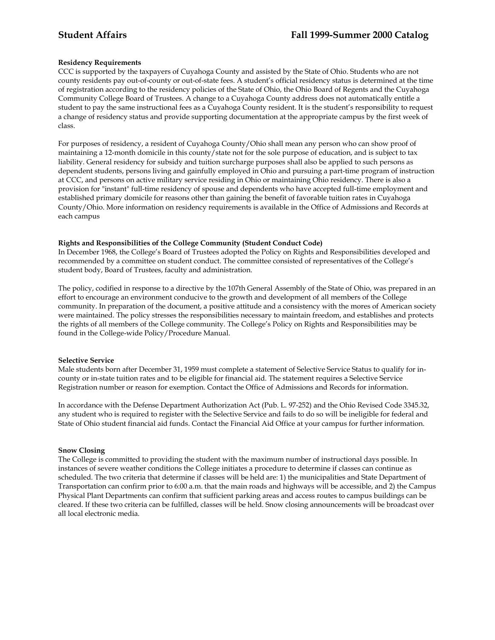# **Residency Requirements**

CCC is supported by the taxpayers of Cuyahoga County and assisted by the State of Ohio. Students who are not county residents pay out-of-county or out-of-state fees. A student's official residency status is determined at the time of registration according to the residency policies of the State of Ohio, the Ohio Board of Regents and the Cuyahoga Community College Board of Trustees. A change to a Cuyahoga County address does not automatically entitle a student to pay the same instructional fees as a Cuyahoga County resident. It is the student's responsibility to request a change of residency status and provide supporting documentation at the appropriate campus by the first week of class.

For purposes of residency, a resident of Cuyahoga County/Ohio shall mean any person who can show proof of maintaining a 12-month domicile in this county/state not for the sole purpose of education, and is subject to tax liability. General residency for subsidy and tuition surcharge purposes shall also be applied to such persons as dependent students, persons living and gainfully employed in Ohio and pursuing a part-time program of instruction at CCC, and persons on active military service residing in Ohio or maintaining Ohio residency. There is also a provision for "instant" full-time residency of spouse and dependents who have accepted full-time employment and established primary domicile for reasons other than gaining the benefit of favorable tuition rates in Cuyahoga County/Ohio. More information on residency requirements is available in the Office of Admissions and Records at each campus

## **Rights and Responsibilities of the College Community (Student Conduct Code)**

In December 1968, the College's Board of Trustees adopted the Policy on Rights and Responsibilities developed and recommended by a committee on student conduct. The committee consisted of representatives of the College's student body, Board of Trustees, faculty and administration.

The policy, codified in response to a directive by the 107th General Assembly of the State of Ohio, was prepared in an effort to encourage an environment conducive to the growth and development of all members of the College community. In preparation of the document, a positive attitude and a consistency with the mores of American society were maintained. The policy stresses the responsibilities necessary to maintain freedom, and establishes and protects the rights of all members of the College community. The College's Policy on Rights and Responsibilities may be found in the College-wide Policy/Procedure Manual.

# **Selective Service**

Male students born after December 31, 1959 must complete a statement of Selective Service Status to qualify for incounty or in-state tuition rates and to be eligible for financial aid. The statement requires a Selective Service Registration number or reason for exemption. Contact the Office of Admissions and Records for information.

In accordance with the Defense Department Authorization Act (Pub. L. 97-252) and the Ohio Revised Code 3345.32, any student who is required to register with the Selective Service and fails to do so will be ineligible for federal and State of Ohio student financial aid funds. Contact the Financial Aid Office at your campus for further information.

### **Snow Closing**

The College is committed to providing the student with the maximum number of instructional days possible. In instances of severe weather conditions the College initiates a procedure to determine if classes can continue as scheduled. The two criteria that determine if classes will be held are: 1) the municipalities and State Department of Transportation can confirm prior to 6:00 a.m. that the main roads and highways will be accessible, and 2) the Campus Physical Plant Departments can confirm that sufficient parking areas and access routes to campus buildings can be cleared. If these two criteria can be fulfilled, classes will be held. Snow closing announcements will be broadcast over all local electronic media.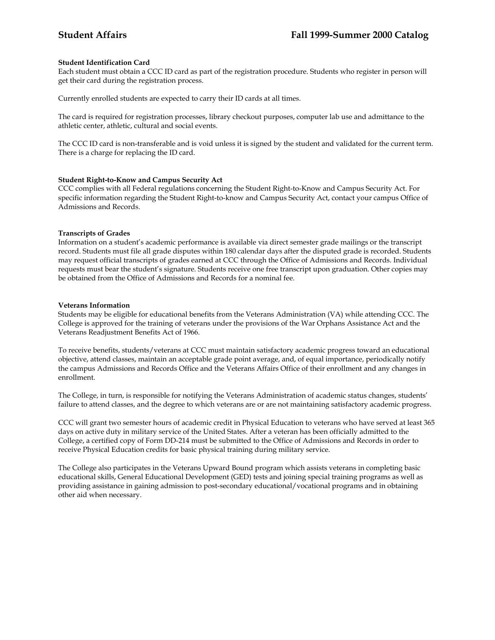## **Student Identification Card**

Each student must obtain a CCC ID card as part of the registration procedure. Students who register in person will get their card during the registration process.

Currently enrolled students are expected to carry their ID cards at all times.

The card is required for registration processes, library checkout purposes, computer lab use and admittance to the athletic center, athletic, cultural and social events.

The CCC ID card is non-transferable and is void unless it is signed by the student and validated for the current term. There is a charge for replacing the ID card.

## **Student Right-to-Know and Campus Security Act**

CCC complies with all Federal regulations concerning the Student Right-to-Know and Campus Security Act. For specific information regarding the Student Right-to-know and Campus Security Act, contact your campus Office of Admissions and Records.

## **Transcripts of Grades**

Information on a student's academic performance is available via direct semester grade mailings or the transcript record. Students must file all grade disputes within 180 calendar days after the disputed grade is recorded. Students may request official transcripts of grades earned at CCC through the Office of Admissions and Records. Individual requests must bear the student's signature. Students receive one free transcript upon graduation. Other copies may be obtained from the Office of Admissions and Records for a nominal fee.

### **Veterans Information**

Students may be eligible for educational benefits from the Veterans Administration (VA) while attending CCC. The College is approved for the training of veterans under the provisions of the War Orphans Assistance Act and the Veterans Readjustment Benefits Act of 1966.

To receive benefits, students/veterans at CCC must maintain satisfactory academic progress toward an educational objective, attend classes, maintain an acceptable grade point average, and, of equal importance, periodically notify the campus Admissions and Records Office and the Veterans Affairs Office of their enrollment and any changes in enrollment.

The College, in turn, is responsible for notifying the Veterans Administration of academic status changes, students' failure to attend classes, and the degree to which veterans are or are not maintaining satisfactory academic progress.

CCC will grant two semester hours of academic credit in Physical Education to veterans who have served at least 365 days on active duty in military service of the United States. After a veteran has been officially admitted to the College, a certified copy of Form DD-214 must be submitted to the Office of Admissions and Records in order to receive Physical Education credits for basic physical training during military service.

The College also participates in the Veterans Upward Bound program which assists veterans in completing basic educational skills, General Educational Development (GED) tests and joining special training programs as well as providing assistance in gaining admission to post-secondary educational/vocational programs and in obtaining other aid when necessary.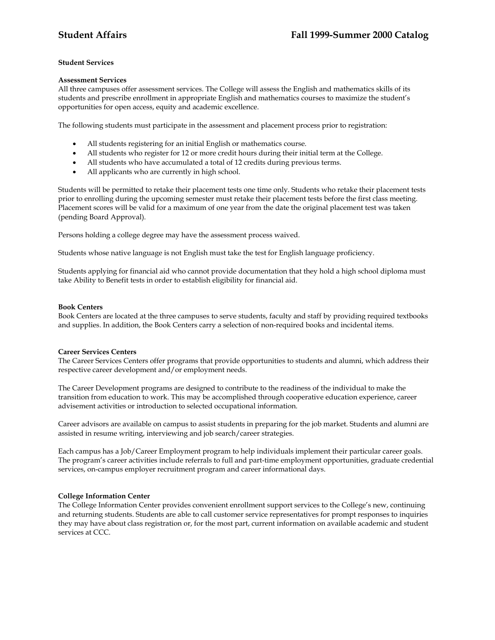# **Student Services**

### **Assessment Services**

All three campuses offer assessment services. The College will assess the English and mathematics skills of its students and prescribe enrollment in appropriate English and mathematics courses to maximize the student's opportunities for open access, equity and academic excellence.

The following students must participate in the assessment and placement process prior to registration:

- All students registering for an initial English or mathematics course.
- All students who register for 12 or more credit hours during their initial term at the College.
- All students who have accumulated a total of 12 credits during previous terms.
- All applicants who are currently in high school.

Students will be permitted to retake their placement tests one time only. Students who retake their placement tests prior to enrolling during the upcoming semester must retake their placement tests before the first class meeting. Placement scores will be valid for a maximum of one year from the date the original placement test was taken (pending Board Approval).

Persons holding a college degree may have the assessment process waived.

Students whose native language is not English must take the test for English language proficiency.

Students applying for financial aid who cannot provide documentation that they hold a high school diploma must take Ability to Benefit tests in order to establish eligibility for financial aid.

### **Book Centers**

Book Centers are located at the three campuses to serve students, faculty and staff by providing required textbooks and supplies. In addition, the Book Centers carry a selection of non-required books and incidental items.

# **Career Services Centers**

The Career Services Centers offer programs that provide opportunities to students and alumni, which address their respective career development and/or employment needs.

The Career Development programs are designed to contribute to the readiness of the individual to make the transition from education to work. This may be accomplished through cooperative education experience, career advisement activities or introduction to selected occupational information.

Career advisors are available on campus to assist students in preparing for the job market. Students and alumni are assisted in resume writing, interviewing and job search/career strategies.

Each campus has a Job/Career Employment program to help individuals implement their particular career goals. The program's career activities include referrals to full and part-time employment opportunities, graduate credential services, on-campus employer recruitment program and career informational days.

# **College Information Center**

The College Information Center provides convenient enrollment support services to the College's new, continuing and returning students. Students are able to call customer service representatives for prompt responses to inquiries they may have about class registration or, for the most part, current information on available academic and student services at CCC.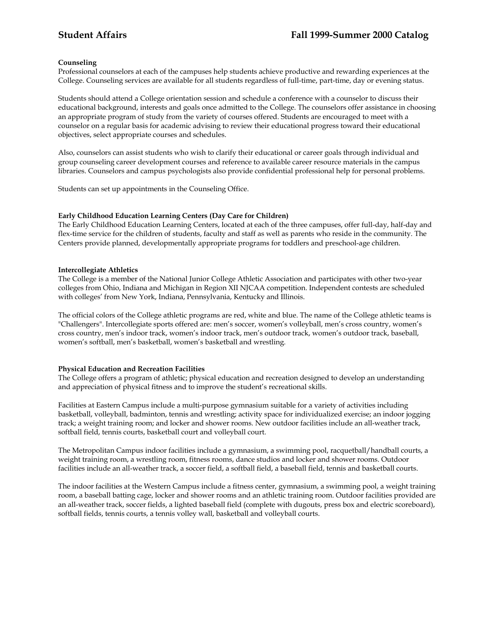## **Counseling**

Professional counselors at each of the campuses help students achieve productive and rewarding experiences at the College. Counseling services are available for all students regardless of full-time, part-time, day or evening status.

Students should attend a College orientation session and schedule a conference with a counselor to discuss their educational background, interests and goals once admitted to the College. The counselors offer assistance in choosing an appropriate program of study from the variety of courses offered. Students are encouraged to meet with a counselor on a regular basis for academic advising to review their educational progress toward their educational objectives, select appropriate courses and schedules.

Also, counselors can assist students who wish to clarify their educational or career goals through individual and group counseling career development courses and reference to available career resource materials in the campus libraries. Counselors and campus psychologists also provide confidential professional help for personal problems.

Students can set up appointments in the Counseling Office.

## **Early Childhood Education Learning Centers (Day Care for Children)**

The Early Childhood Education Learning Centers, located at each of the three campuses, offer full-day, half-day and flex-time service for the children of students, faculty and staff as well as parents who reside in the community. The Centers provide planned, developmentally appropriate programs for toddlers and preschool-age children.

### **Intercollegiate Athletics**

The College is a member of the National Junior College Athletic Association and participates with other two-year colleges from Ohio, Indiana and Michigan in Region XII NJCAA competition. Independent contests are scheduled with colleges' from New York, Indiana, Pennsylvania, Kentucky and Illinois.

The official colors of the College athletic programs are red, white and blue. The name of the College athletic teams is "Challengers". Intercollegiate sports offered are: men's soccer, women's volleyball, men's cross country, women's cross country, men's indoor track, women's indoor track, men's outdoor track, women's outdoor track, baseball, women's softball, men's basketball, women's basketball and wrestling.

# **Physical Education and Recreation Facilities**

The College offers a program of athletic; physical education and recreation designed to develop an understanding and appreciation of physical fitness and to improve the student's recreational skills.

Facilities at Eastern Campus include a multi-purpose gymnasium suitable for a variety of activities including basketball, volleyball, badminton, tennis and wrestling; activity space for individualized exercise; an indoor jogging track; a weight training room; and locker and shower rooms. New outdoor facilities include an all-weather track, softball field, tennis courts, basketball court and volleyball court.

The Metropolitan Campus indoor facilities include a gymnasium, a swimming pool, racquetball/handball courts, a weight training room, a wrestling room, fitness rooms, dance studios and locker and shower rooms. Outdoor facilities include an all-weather track, a soccer field, a softball field, a baseball field, tennis and basketball courts.

The indoor facilities at the Western Campus include a fitness center, gymnasium, a swimming pool, a weight training room, a baseball batting cage, locker and shower rooms and an athletic training room. Outdoor facilities provided are an all-weather track, soccer fields, a lighted baseball field (complete with dugouts, press box and electric scoreboard), softball fields, tennis courts, a tennis volley wall, basketball and volleyball courts.